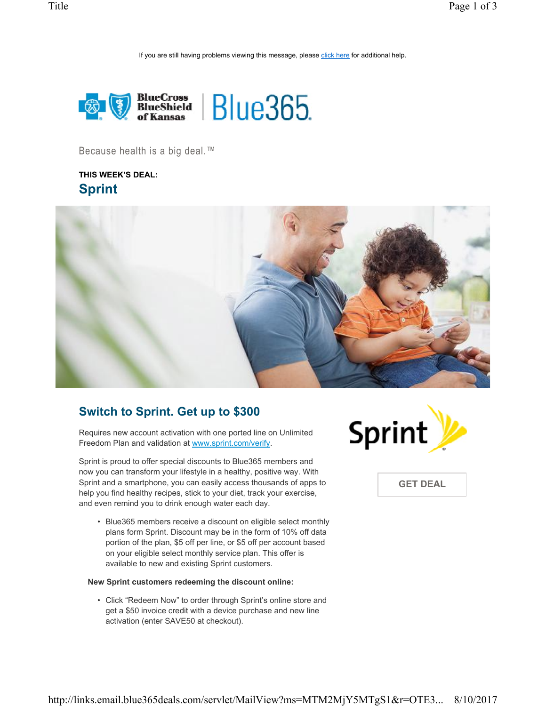If you are still having problems viewing this message, please click here for additional help.



Because health is a big deal.™

**THIS WEEK'S DEAL: Sprint**



## **Switch to Sprint. Get up to \$300**

Requires new account activation with one ported line on Unlimited Freedom Plan and validation at www.sprint.com/verify.

Sprint is proud to offer special discounts to Blue365 members and now you can transform your lifestyle in a healthy, positive way. With Sprint and a smartphone, you can easily access thousands of apps to help you find healthy recipes, stick to your diet, track your exercise, and even remind you to drink enough water each day.

• Blue365 members receive a discount on eligible select monthly plans form Sprint. Discount may be in the form of 10% off data portion of the plan, \$5 off per line, or \$5 off per account based on your eligible select monthly service plan. This offer is available to new and existing Sprint customers.

#### **New Sprint customers redeeming the discount online:**

• Click "Redeem Now" to order through Sprint's online store and get a \$50 invoice credit with a device purchase and new line activation (enter SAVE50 at checkout).



**GET DEAL**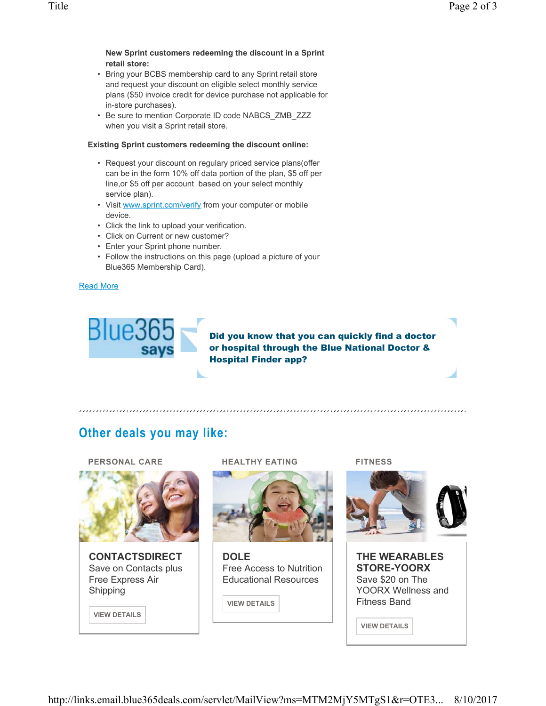#### **New Sprint customers redeeming the discount in a Sprint retail store:**

- Bring your BCBS membership card to any Sprint retail store and request your discount on eligible select monthly service plans (\$50 invoice credit for device purchase not applicable for in-store purchases).
- Be sure to mention Corporate ID code NABCS\_ZMB\_ZZZ when you visit a Sprint retail store.

## **Existing Sprint customers redeeming the discount online:**

- Request your discount on regulary priced service plans(offer can be in the form 10% off data portion of the plan, \$5 off per line,or \$5 off per account based on your select monthly service plan).
- Visit www.sprint.com/verify from your computer or mobile device.
- Click the link to upload your verification.
- Click on Current or new customer?
- Enter your Sprint phone number.
- Follow the instructions on this page (upload a picture of your Blue365 Membership Card).

### Read More



Did you know that you can quickly find a doctor or hospital through the Blue National Doctor & Hospital Finder app?

# **Other deals you may like:**